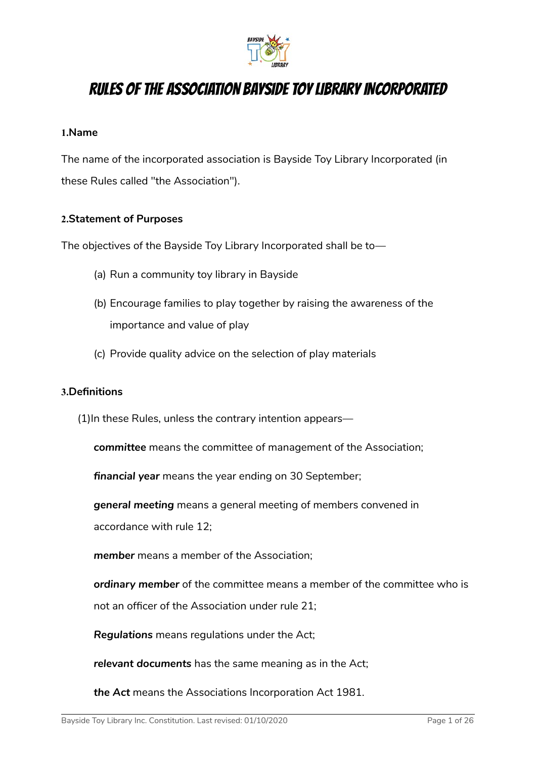

# RULES OF THE ASSOCIATION BAYSIDE TOY LIBRARY INCORPORATED

#### **1.Name**

The name of the incorporated association is Bayside Toy Library Incorporated (in these Rules called "the Association").

#### **2.Statement of Purposes**

The objectives of the Bayside Toy Library Incorporated shall be to—

- (a) Run a community toy library in Bayside
- (b) Encourage families to play together by raising the awareness of the importance and value of play
- (c) Provide quality advice on the selection of play materials

#### **3.Definitions**

- (1)In these Rules, unless the contrary intention appears
	- *committee* means the committee of management of the Association;

*financial year* means the year ending on 30 September;

*general meeting* means a general meeting of members convened in accordance with rule 12;

*member* means a member of the Association;

*ordinary member* of the committee means a member of the committee who is not an officer of the Association under rule 21;

*Regulations* means regulations under the Act;

*relevant documents* has the same meaning as in the Act;

*the Act* means the Associations Incorporation Act 1981.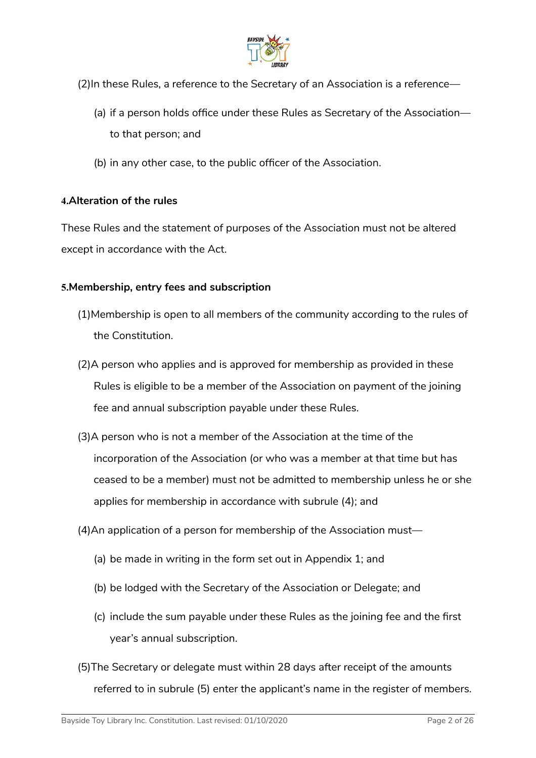

- (2)In these Rules, a reference to the Secretary of an Association is a reference—
	- (a) if a person holds office under these Rules as Secretary of the Association to that person; and
	- (b) in any other case, to the public officer of the Association.

#### **4.Alteration of the rules**

These Rules and the statement of purposes of the Association must not be altered except in accordance with the Act.

#### **5.Membership, entry fees and subscription**

- (1)Membership is open to all members of the community according to the rules of the Constitution.
- (2)A person who applies and is approved for membership as provided in these Rules is eligible to be a member of the Association on payment of the joining fee and annual subscription payable under these Rules.
- (3)A person who is not a member of the Association at the time of the incorporation of the Association (or who was a member at that time but has ceased to be a member) must not be admitted to membership unless he or she applies for membership in accordance with subrule (4); and
- (4)An application of a person for membership of the Association must—
	- (a) be made in writing in the form set out in Appendix 1; and
	- (b) be lodged with the Secretary of the Association or Delegate; and
	- (c) include the sum payable under these Rules as the joining fee and the first year's annual subscription.
- (5)The Secretary or delegate must within 28 days after receipt of the amounts referred to in subrule (5) enter the applicant's name in the register of members.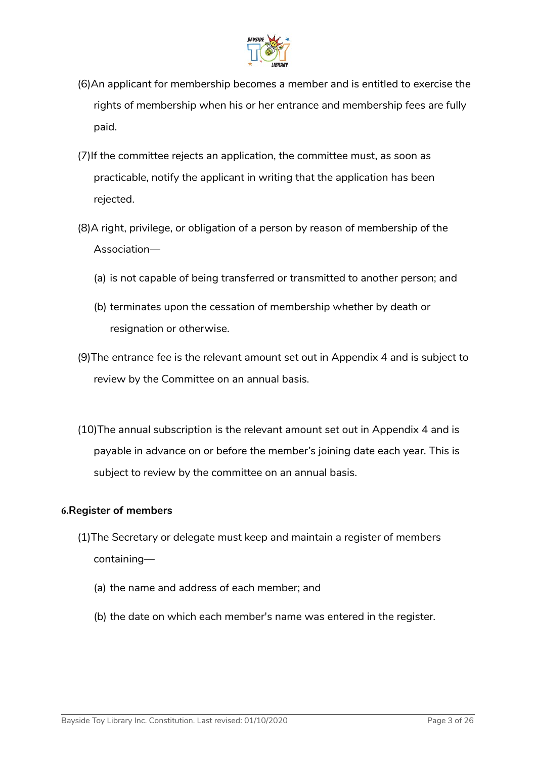

- (6)An applicant for membership becomes a member and is entitled to exercise the rights of membership when his or her entrance and membership fees are fully paid.
- (7)If the committee rejects an application, the committee must, as soon as practicable, notify the applicant in writing that the application has been rejected.
- (8)A right, privilege, or obligation of a person by reason of membership of the Association—
	- (a) is not capable of being transferred or transmitted to another person; and
	- (b) terminates upon the cessation of membership whether by death or resignation or otherwise.
- (9)The entrance fee is the relevant amount set out in Appendix 4 and is subject to review by the Committee on an annual basis.
- (10)The annual subscription is the relevant amount set out in Appendix 4 and is payable in advance on or before the member's joining date each year. This is subject to review by the committee on an annual basis.

#### **6.Register of members**

- (1)The Secretary or delegate must keep and maintain a register of members containing—
	- (a) the name and address of each member; and
	- (b) the date on which each member's name was entered in the register.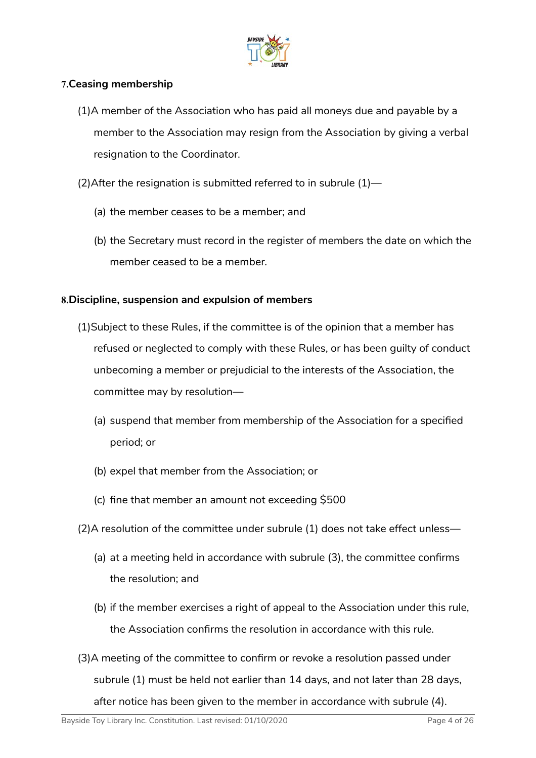

### **7.Ceasing membership**

- (1)A member of the Association who has paid all moneys due and payable by a member to the Association may resign from the Association by giving a verbal resignation to the Coordinator.
- (2)After the resignation is submitted referred to in subrule (1)—
	- (a) the member ceases to be a member; and
	- (b) the Secretary must record in the register of members the date on which the member ceased to be a member.

### **8.Discipline, suspension and expulsion of members**

- (1)Subject to these Rules, if the committee is of the opinion that a member has refused or neglected to comply with these Rules, or has been guilty of conduct unbecoming a member or prejudicial to the interests of the Association, the committee may by resolution—
	- (a) suspend that member from membership of the Association for a specified period; or
	- (b) expel that member from the Association; or
	- (c) fine that member an amount not exceeding \$500
- (2)A resolution of the committee under subrule (1) does not take effect unless—
	- (a) at a meeting held in accordance with subrule (3), the committee confirms the resolution; and
	- (b) if the member exercises a right of appeal to the Association under this rule, the Association confirms the resolution in accordance with this rule.
- (3)A meeting of the committee to confirm or revoke a resolution passed under subrule (1) must be held not earlier than 14 days, and not later than 28 days, after notice has been given to the member in accordance with subrule (4).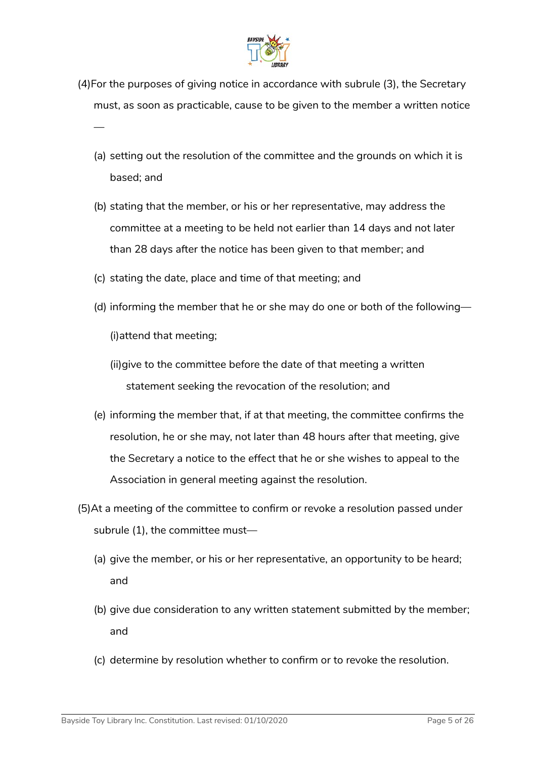

- (4)For the purposes of giving notice in accordance with subrule (3), the Secretary must, as soon as practicable, cause to be given to the member a written notice
	- (a) setting out the resolution of the committee and the grounds on which it is based; and
	- (b) stating that the member, or his or her representative, may address the committee at a meeting to be held not earlier than 14 days and not later than 28 days after the notice has been given to that member; and
	- (c) stating the date, place and time of that meeting; and
	- (d) informing the member that he or she may do one or both of the following—

(i)attend that meeting;

—

- (ii)give to the committee before the date of that meeting a written statement seeking the revocation of the resolution; and
- (e) informing the member that, if at that meeting, the committee confirms the resolution, he or she may, not later than 48 hours after that meeting, give the Secretary a notice to the effect that he or she wishes to appeal to the Association in general meeting against the resolution.
- (5)At a meeting of the committee to confirm or revoke a resolution passed under subrule (1), the committee must—
	- (a) give the member, or his or her representative, an opportunity to be heard; and
	- (b) give due consideration to any written statement submitted by the member; and
	- (c) determine by resolution whether to confirm or to revoke the resolution.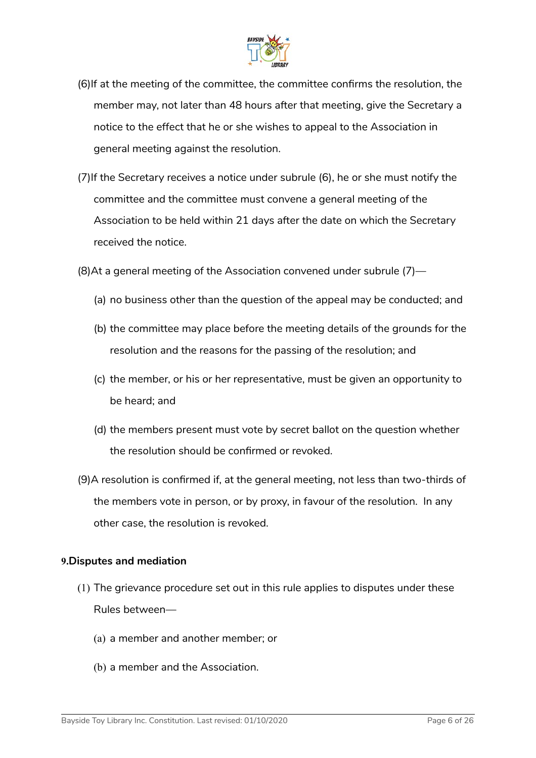

- (6)If at the meeting of the committee, the committee confirms the resolution, the member may, not later than 48 hours after that meeting, give the Secretary a notice to the effect that he or she wishes to appeal to the Association in general meeting against the resolution.
- (7)If the Secretary receives a notice under subrule (6), he or she must notify the committee and the committee must convene a general meeting of the Association to be held within 21 days after the date on which the Secretary received the notice.
- (8)At a general meeting of the Association convened under subrule (7)—
	- (a) no business other than the question of the appeal may be conducted; and
	- (b) the committee may place before the meeting details of the grounds for the resolution and the reasons for the passing of the resolution; and
	- (c) the member, or his or her representative, must be given an opportunity to be heard; and
	- (d) the members present must vote by secret ballot on the question whether the resolution should be confirmed or revoked.
- (9)A resolution is confirmed if, at the general meeting, not less than two-thirds of the members vote in person, or by proxy, in favour of the resolution. In any other case, the resolution is revoked.

#### **9.Disputes and mediation**

- (1) The grievance procedure set out in this rule applies to disputes under these Rules between—
	- (a) a member and another member; or
	- (b) a member and the Association.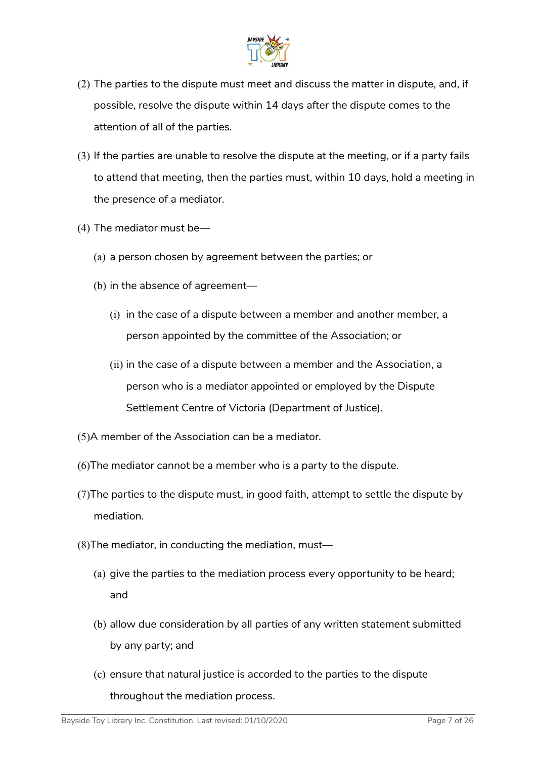

- (2) The parties to the dispute must meet and discuss the matter in dispute, and, if possible, resolve the dispute within 14 days after the dispute comes to the attention of all of the parties.
- (3) If the parties are unable to resolve the dispute at the meeting, or if a party fails to attend that meeting, then the parties must, within 10 days, hold a meeting in the presence of a mediator.
- (4) The mediator must be—
	- (a) a person chosen by agreement between the parties; or
	- (b) in the absence of agreement—
		- (i) in the case of a dispute between a member and another member, a person appointed by the committee of the Association; or
		- (ii) in the case of a dispute between a member and the Association, a person who is a mediator appointed or employed by the Dispute Settlement Centre of Victoria (Department of Justice).
- (5)A member of the Association can be a mediator.
- (6)The mediator cannot be a member who is a party to the dispute.
- (7)The parties to the dispute must, in good faith, attempt to settle the dispute by mediation.
- (8)The mediator, in conducting the mediation, must—
	- (a) give the parties to the mediation process every opportunity to be heard; and
	- (b) allow due consideration by all parties of any written statement submitted by any party; and
	- (c) ensure that natural justice is accorded to the parties to the dispute throughout the mediation process.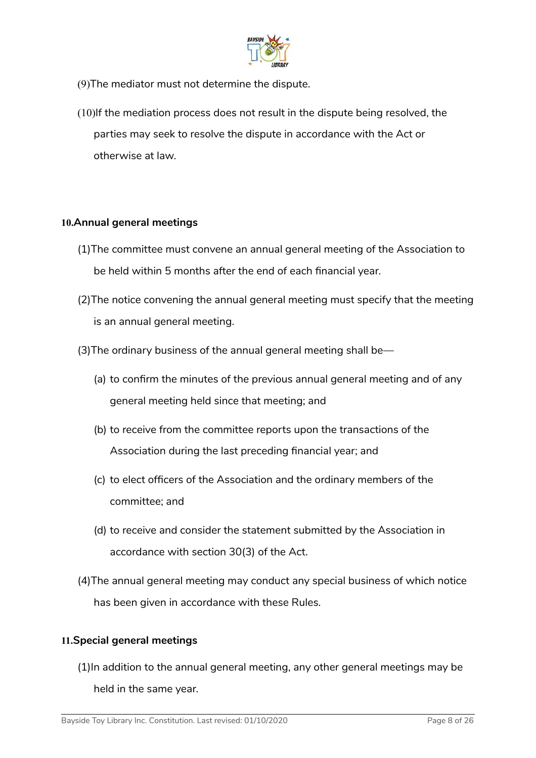

- (9)The mediator must not determine the dispute.
- (10)If the mediation process does not result in the dispute being resolved, the parties may seek to resolve the dispute in accordance with the Act or otherwise at law.

#### **10.Annual general meetings**

- (1)The committee must convene an annual general meeting of the Association to be held within 5 months after the end of each financial year.
- (2)The notice convening the annual general meeting must specify that the meeting is an annual general meeting.
- (3)The ordinary business of the annual general meeting shall be—
	- (a) to confirm the minutes of the previous annual general meeting and of any general meeting held since that meeting; and
	- (b) to receive from the committee reports upon the transactions of the Association during the last preceding financial year; and
	- (c) to elect officers of the Association and the ordinary members of the committee; and
	- (d) to receive and consider the statement submitted by the Association in accordance with section 30(3) of the Act.
- (4)The annual general meeting may conduct any special business of which notice has been given in accordance with these Rules.

#### **11.Special general meetings**

(1)In addition to the annual general meeting, any other general meetings may be held in the same year.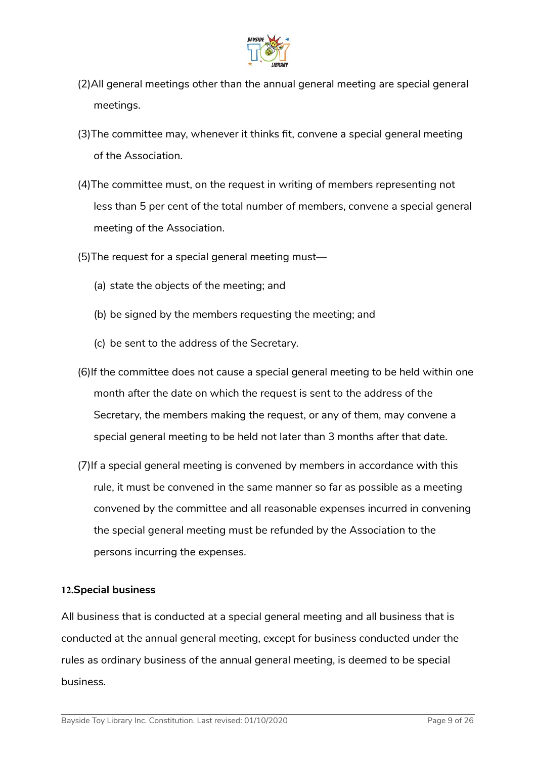

- (2)All general meetings other than the annual general meeting are special general meetings.
- (3)The committee may, whenever it thinks fit, convene a special general meeting of the Association.
- (4)The committee must, on the request in writing of members representing not less than 5 per cent of the total number of members, convene a special general meeting of the Association.
- (5)The request for a special general meeting must—
	- (a) state the objects of the meeting; and
	- (b) be signed by the members requesting the meeting; and
	- (c) be sent to the address of the Secretary.
- (6)If the committee does not cause a special general meeting to be held within one month after the date on which the request is sent to the address of the Secretary, the members making the request, or any of them, may convene a special general meeting to be held not later than 3 months after that date.
- (7)If a special general meeting is convened by members in accordance with this rule, it must be convened in the same manner so far as possible as a meeting convened by the committee and all reasonable expenses incurred in convening the special general meeting must be refunded by the Association to the persons incurring the expenses.

#### **12.Special business**

All business that is conducted at a special general meeting and all business that is conducted at the annual general meeting, except for business conducted under the rules as ordinary business of the annual general meeting, is deemed to be special business.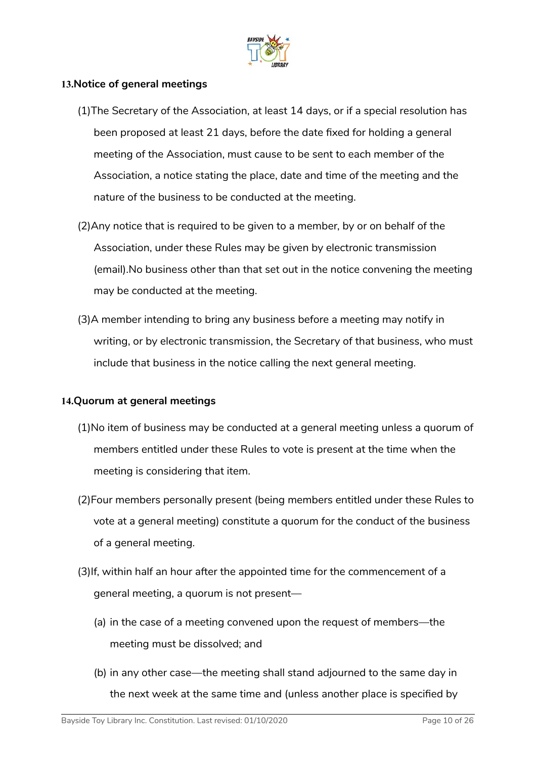

#### **13.Notice of general meetings**

- (1)The Secretary of the Association, at least 14 days, or if a special resolution has been proposed at least 21 days, before the date fixed for holding a general meeting of the Association, must cause to be sent to each member of the Association, a notice stating the place, date and time of the meeting and the nature of the business to be conducted at the meeting.
- (2)Any notice that is required to be given to a member, by or on behalf of the Association, under these Rules may be given by electronic transmission (email).No business other than that set out in the notice convening the meeting may be conducted at the meeting.
- (3)A member intending to bring any business before a meeting may notify in writing, or by electronic transmission, the Secretary of that business, who must include that business in the notice calling the next general meeting.

#### **14.Quorum at general meetings**

- (1)No item of business may be conducted at a general meeting unless a quorum of members entitled under these Rules to vote is present at the time when the meeting is considering that item.
- (2)Four members personally present (being members entitled under these Rules to vote at a general meeting) constitute a quorum for the conduct of the business of a general meeting.
- (3)If, within half an hour after the appointed time for the commencement of a general meeting, a quorum is not present—
	- (a) in the case of a meeting convened upon the request of members—the meeting must be dissolved; and
	- (b) in any other case—the meeting shall stand adjourned to the same day in the next week at the same time and (unless another place is specified by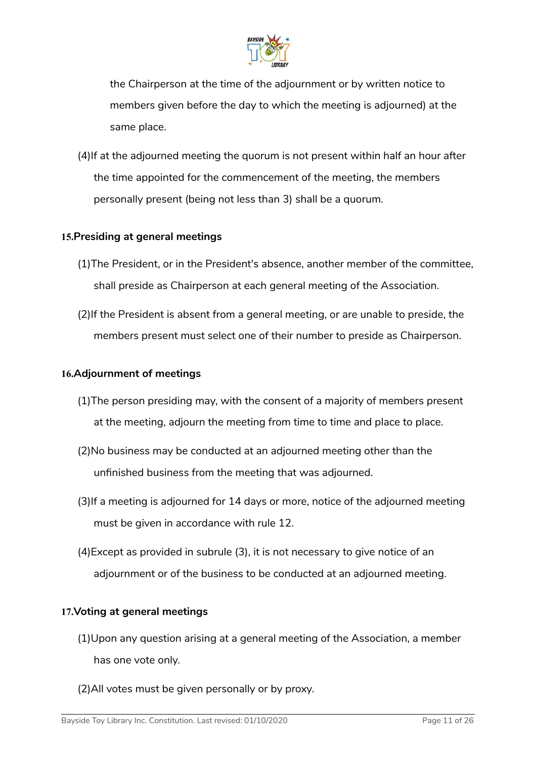

the Chairperson at the time of the adjournment or by written notice to members given before the day to which the meeting is adjourned) at the same place.

(4)If at the adjourned meeting the quorum is not present within half an hour after the time appointed for the commencement of the meeting, the members personally present (being not less than 3) shall be a quorum.

#### **15.Presiding at general meetings**

- (1)The President, or in the President's absence, another member of the committee, shall preside as Chairperson at each general meeting of the Association.
- (2)If the President is absent from a general meeting, or are unable to preside, the members present must select one of their number to preside as Chairperson.

#### **16.Adjournment of meetings**

- (1)The person presiding may, with the consent of a majority of members present at the meeting, adjourn the meeting from time to time and place to place.
- (2)No business may be conducted at an adjourned meeting other than the unfinished business from the meeting that was adjourned.
- (3)If a meeting is adjourned for 14 days or more, notice of the adjourned meeting must be given in accordance with rule 12.
- (4)Except as provided in subrule (3), it is not necessary to give notice of an adjournment or of the business to be conducted at an adjourned meeting.

#### **17.Voting at general meetings**

- (1)Upon any question arising at a general meeting of the Association, a member has one vote only.
- (2)All votes must be given personally or by proxy.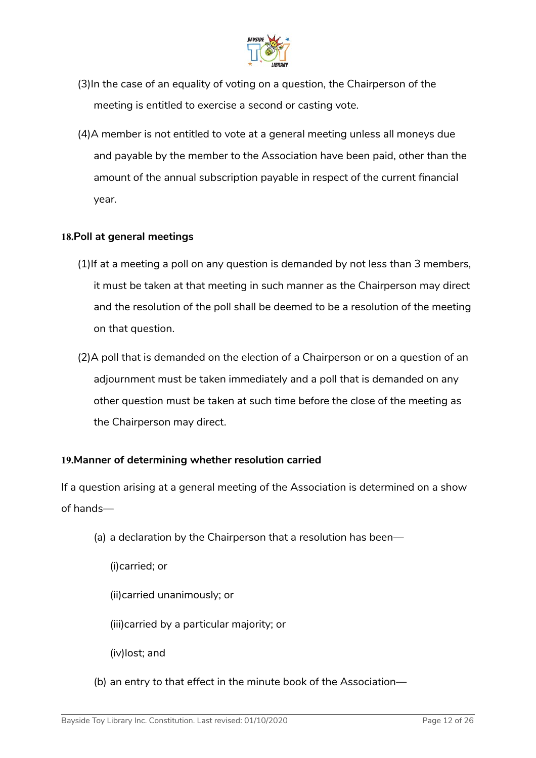

- (3)In the case of an equality of voting on a question, the Chairperson of the meeting is entitled to exercise a second or casting vote.
- (4)A member is not entitled to vote at a general meeting unless all moneys due and payable by the member to the Association have been paid, other than the amount of the annual subscription payable in respect of the current financial year.

#### **18.Poll at general meetings**

- (1)If at a meeting a poll on any question is demanded by not less than 3 members, it must be taken at that meeting in such manner as the Chairperson may direct and the resolution of the poll shall be deemed to be a resolution of the meeting on that question.
- (2)A poll that is demanded on the election of a Chairperson or on a question of an adjournment must be taken immediately and a poll that is demanded on any other question must be taken at such time before the close of the meeting as the Chairperson may direct.

#### **19.Manner of determining whether resolution carried**

If a question arising at a general meeting of the Association is determined on a show of hands—

(a) a declaration by the Chairperson that a resolution has been—

(i)carried; or

(ii)carried unanimously; or

(iii)carried by a particular majority; or

(iv)lost; and

(b) an entry to that effect in the minute book of the Association—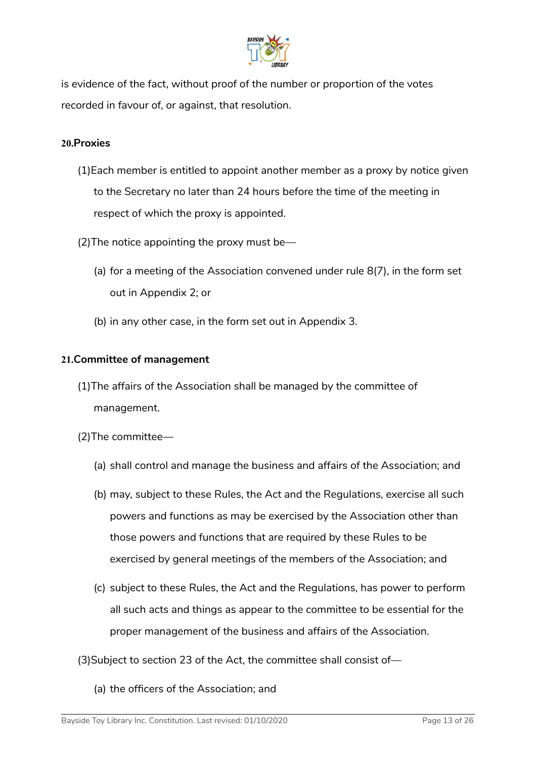

is evidence of the fact, without proof of the number or proportion of the votes recorded in favour of, or against, that resolution.

#### **20.Proxies**

- (1)Each member is entitled to appoint another member as a proxy by notice given to the Secretary no later than 24 hours before the time of the meeting in respect of which the proxy is appointed.
- (2)The notice appointing the proxy must be—
	- (a) for a meeting of the Association convened under rule 8(7), in the form set out in Appendix 2; or
	- (b) in any other case, in the form set out in Appendix 3.

### **21.Committee of management**

- (1)The affairs of the Association shall be managed by the committee of management.
- (2)The committee—
	- (a) shall control and manage the business and affairs of the Association; and
	- (b) may, subject to these Rules, the Act and the Regulations, exercise all such powers and functions as may be exercised by the Association other than those powers and functions that are required by these Rules to be exercised by general meetings of the members of the Association; and
	- (c) subject to these Rules, the Act and the Regulations, has power to perform all such acts and things as appear to the committee to be essential for the proper management of the business and affairs of the Association.
- (3)Subject to section 23 of the Act, the committee shall consist of—
	- (a) the officers of the Association; and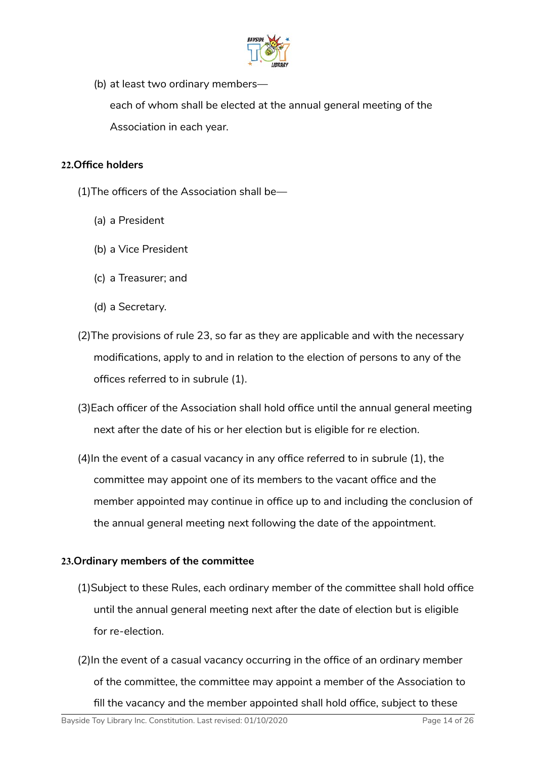

(b) at least two ordinary members—

each of whom shall be elected at the annual general meeting of the Association in each year.

#### **22.Office holders**

- (1)The officers of the Association shall be—
	- (a) a President
	- (b) a Vice President
	- (c) a Treasurer; and
	- (d) a Secretary.
- (2)The provisions of rule 23, so far as they are applicable and with the necessary modifications, apply to and in relation to the election of persons to any of the offices referred to in subrule (1).
- (3)Each officer of the Association shall hold office until the annual general meeting next after the date of his or her election but is eligible for re election.
- (4)In the event of a casual vacancy in any office referred to in subrule (1), the committee may appoint one of its members to the vacant office and the member appointed may continue in office up to and including the conclusion of the annual general meeting next following the date of the appointment.

#### **23.Ordinary members of the committee**

- (1)Subject to these Rules, each ordinary member of the committee shall hold office until the annual general meeting next after the date of election but is eligible for re-election.
- (2)In the event of a casual vacancy occurring in the office of an ordinary member of the committee, the committee may appoint a member of the Association to fill the vacancy and the member appointed shall hold office, subject to these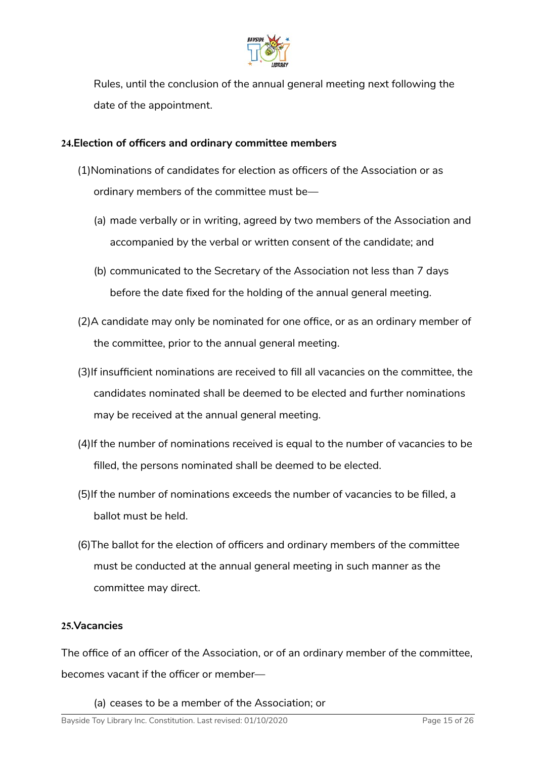

Rules, until the conclusion of the annual general meeting next following the date of the appointment.

#### **24.Election of officers and ordinary committee members**

- (1)Nominations of candidates for election as officers of the Association or as ordinary members of the committee must be—
	- (a) made verbally or in writing, agreed by two members of the Association and accompanied by the verbal or written consent of the candidate; and
	- (b) communicated to the Secretary of the Association not less than 7 days before the date fixed for the holding of the annual general meeting.
- (2)A candidate may only be nominated for one office, or as an ordinary member of the committee, prior to the annual general meeting.
- (3)If insufficient nominations are received to fill all vacancies on the committee, the candidates nominated shall be deemed to be elected and further nominations may be received at the annual general meeting.
- (4)If the number of nominations received is equal to the number of vacancies to be filled, the persons nominated shall be deemed to be elected.
- (5)If the number of nominations exceeds the number of vacancies to be filled, a ballot must be held.
- (6)The ballot for the election of officers and ordinary members of the committee must be conducted at the annual general meeting in such manner as the committee may direct.

#### **25.Vacancies**

The office of an officer of the Association, or of an ordinary member of the committee, becomes vacant if the officer or member—

(a) ceases to be a member of the Association; or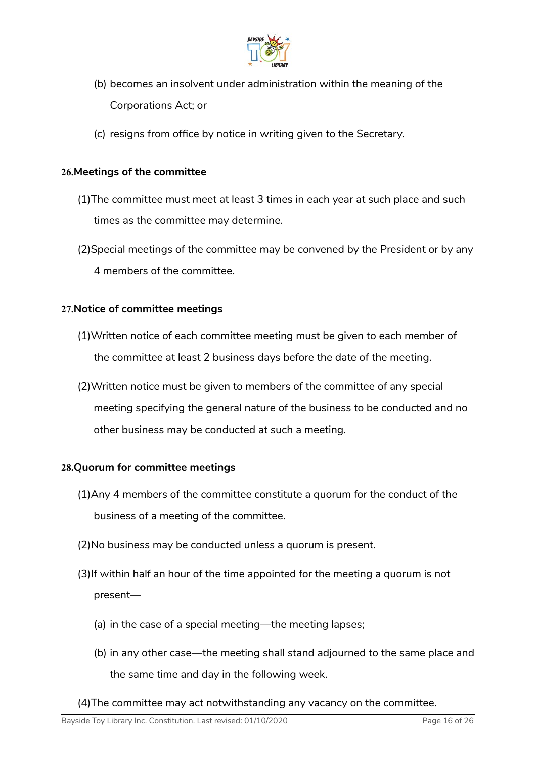

- (b) becomes an insolvent under administration within the meaning of the Corporations Act; or
- (c) resigns from office by notice in writing given to the Secretary.

#### **26.Meetings of the committee**

- (1)The committee must meet at least 3 times in each year at such place and such times as the committee may determine.
- (2)Special meetings of the committee may be convened by the President or by any 4 members of the committee.

### **27.Notice of committee meetings**

- (1)Written notice of each committee meeting must be given to each member of the committee at least 2 business days before the date of the meeting.
- (2)Written notice must be given to members of the committee of any special meeting specifying the general nature of the business to be conducted and no other business may be conducted at such a meeting.

#### **28.Quorum for committee meetings**

- (1)Any 4 members of the committee constitute a quorum for the conduct of the business of a meeting of the committee.
- (2)No business may be conducted unless a quorum is present.
- (3)If within half an hour of the time appointed for the meeting a quorum is not present—
	- (a) in the case of a special meeting—the meeting lapses;
	- (b) in any other case—the meeting shall stand adjourned to the same place and the same time and day in the following week.
- (4)The committee may act notwithstanding any vacancy on the committee.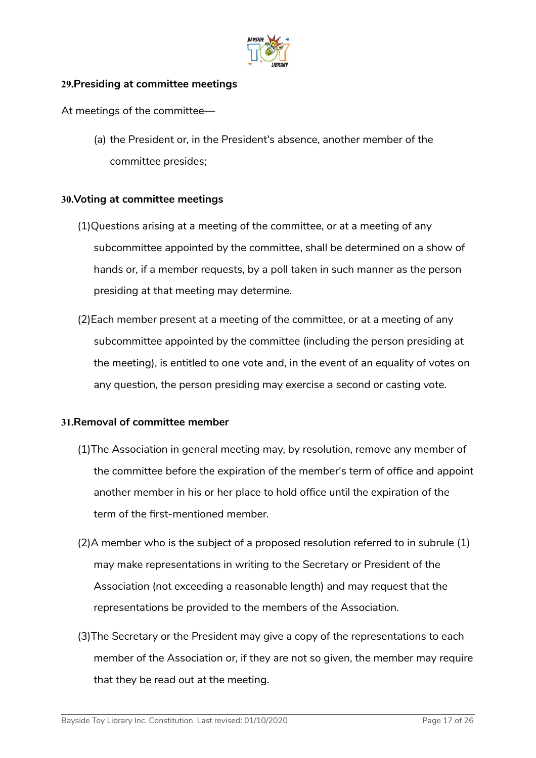

#### **29.Presiding at committee meetings**

At meetings of the committee—

(a) the President or, in the President's absence, another member of the committee presides;

#### **30.Voting at committee meetings**

- (1)Questions arising at a meeting of the committee, or at a meeting of any subcommittee appointed by the committee, shall be determined on a show of hands or, if a member requests, by a poll taken in such manner as the person presiding at that meeting may determine.
- (2)Each member present at a meeting of the committee, or at a meeting of any subcommittee appointed by the committee (including the person presiding at the meeting), is entitled to one vote and, in the event of an equality of votes on any question, the person presiding may exercise a second or casting vote.

#### **31.Removal of committee member**

- (1)The Association in general meeting may, by resolution, remove any member of the committee before the expiration of the member's term of office and appoint another member in his or her place to hold office until the expiration of the term of the first-mentioned member.
- (2)A member who is the subject of a proposed resolution referred to in subrule (1) may make representations in writing to the Secretary or President of the Association (not exceeding a reasonable length) and may request that the representations be provided to the members of the Association.
- (3)The Secretary or the President may give a copy of the representations to each member of the Association or, if they are not so given, the member may require that they be read out at the meeting.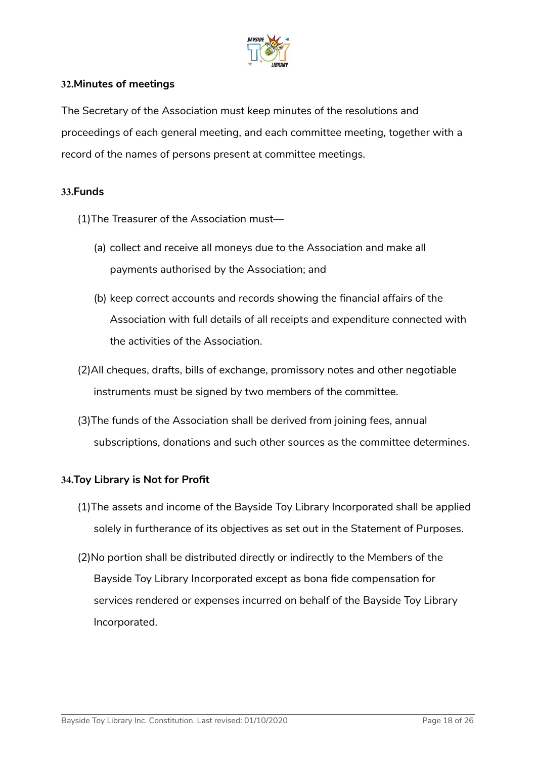

#### **32.Minutes of meetings**

The Secretary of the Association must keep minutes of the resolutions and proceedings of each general meeting, and each committee meeting, together with a record of the names of persons present at committee meetings.

#### **33.Funds**

- (1)The Treasurer of the Association must—
	- (a) collect and receive all moneys due to the Association and make all payments authorised by the Association; and
	- (b) keep correct accounts and records showing the financial affairs of the Association with full details of all receipts and expenditure connected with the activities of the Association.
- (2)All cheques, drafts, bills of exchange, promissory notes and other negotiable instruments must be signed by two members of the committee.
- (3)The funds of the Association shall be derived from joining fees, annual subscriptions, donations and such other sources as the committee determines.

#### **34.Toy Library is Not for Profit**

- (1)The assets and income of the Bayside Toy Library Incorporated shall be applied solely in furtherance of its objectives as set out in the Statement of Purposes.
- (2)No portion shall be distributed directly or indirectly to the Members of the Bayside Toy Library Incorporated except as bona fide compensation for services rendered or expenses incurred on behalf of the Bayside Toy Library Incorporated.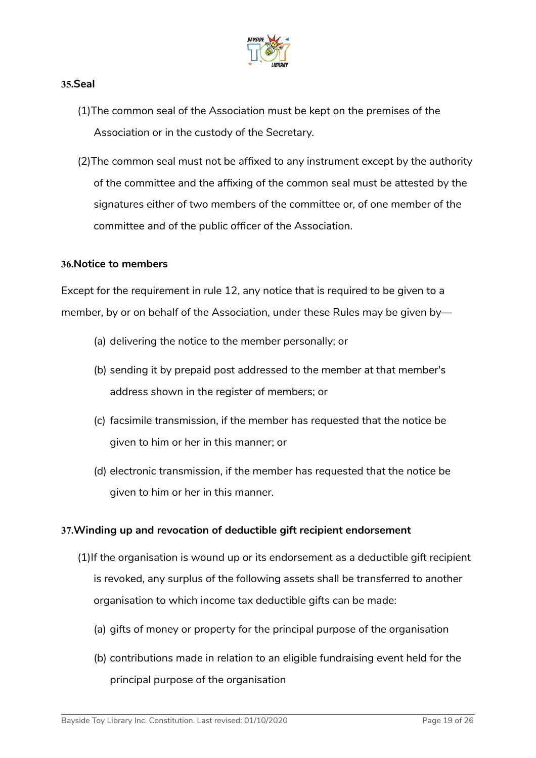

#### **35.Seal**

- (1)The common seal of the Association must be kept on the premises of the Association or in the custody of the Secretary.
- (2)The common seal must not be affixed to any instrument except by the authority of the committee and the affixing of the common seal must be attested by the signatures either of two members of the committee or, of one member of the committee and of the public officer of the Association.

#### **36.Notice to members**

Except for the requirement in rule 12, any notice that is required to be given to a member, by or on behalf of the Association, under these Rules may be given by—

- (a) delivering the notice to the member personally; or
- (b) sending it by prepaid post addressed to the member at that member's address shown in the register of members; or
- (c) facsimile transmission, if the member has requested that the notice be given to him or her in this manner; or
- (d) electronic transmission, if the member has requested that the notice be given to him or her in this manner.

#### <span id="page-18-0"></span>**37.Winding up and revocation of deductible gift recipient endorsement**

- <span id="page-18-1"></span>(1)If the organisation is wound up or its endorsement as a deductible gift recipient is revoked, any surplus of the following assets shall be transferred to another organisation to which income tax deductible gifts can be made:
	- (a) gifts of money or property for the principal purpose of the organisation
	- (b) contributions made in relation to an eligible fundraising event held for the principal purpose of the organisation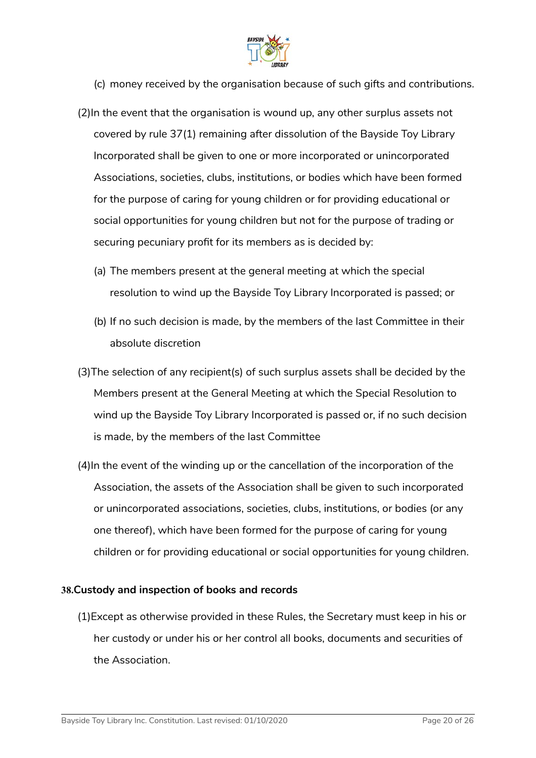

- (c) money received by the organisation because of such gifts and contributions.
- (2)In the event that the organisation is wound up, any other surplus assets not covered by rule [37](#page-18-0)[\(1\)](#page-18-1) remaining after dissolution of the Bayside Toy Library Incorporated shall be given to one or more incorporated or unincorporated Associations, societies, clubs, institutions, or bodies which have been formed for the purpose of caring for young children or for providing educational or social opportunities for young children but not for the purpose of trading or securing pecuniary profit for its members as is decided by:
	- (a) The members present at the general meeting at which the special resolution to wind up the Bayside Toy Library Incorporated is passed; or
	- (b) If no such decision is made, by the members of the last Committee in their absolute discretion
- (3)The selection of any recipient(s) of such surplus assets shall be decided by the Members present at the General Meeting at which the Special Resolution to wind up the Bayside Toy Library Incorporated is passed or, if no such decision is made, by the members of the last Committee
- (4)In the event of the winding up or the cancellation of the incorporation of the Association, the assets of the Association shall be given to such incorporated or unincorporated associations, societies, clubs, institutions, or bodies (or any one thereof), which have been formed for the purpose of caring for young children or for providing educational or social opportunities for young children.

#### **38.Custody and inspection of books and records**

(1)Except as otherwise provided in these Rules, the Secretary must keep in his or her custody or under his or her control all books, documents and securities of the Association.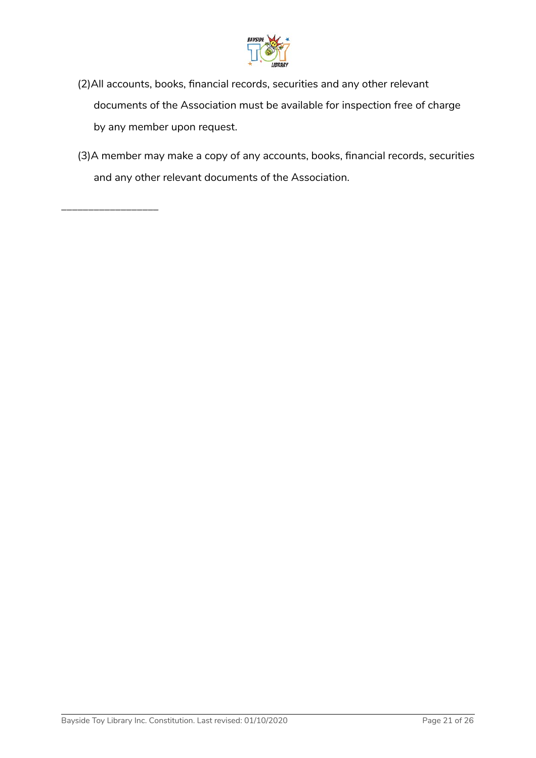

- (2)All accounts, books, financial records, securities and any other relevant documents of the Association must be available for inspection free of charge by any member upon request.
- (3)A member may make a copy of any accounts, books, financial records, securities and any other relevant documents of the Association.

\_\_\_\_\_\_\_\_\_\_\_\_\_\_\_\_\_\_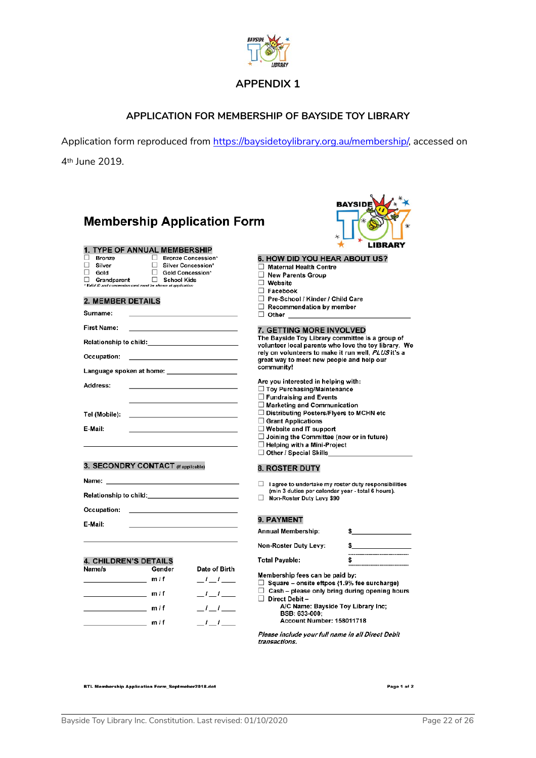

#### **APPLICATION FOR MEMBERSHIP OF BAYSIDE TOY LIBRARY**

Application form reproduced from [https://baysidetoylibrary.org.au/membership/,](https://baysidetoylibrary.org.au/membership/) accessed on

**BAYSIDE** 

4th June 2019.

| <b>Membership Application Form</b>                                                                             | $\ast$                                                                            |
|----------------------------------------------------------------------------------------------------------------|-----------------------------------------------------------------------------------|
| 1. TYPE OF ANNUAL MEMBERSHIP                                                                                   | LIBRARY                                                                           |
| Bronze<br>□ Bronze Concession*                                                                                 | 6. HOW DID YOU HEAR ABOUT US?                                                     |
| Ω.<br>Silver Concession*<br>Silver                                                                             | $\Box$ Maternal Health Centre                                                     |
| Gold Concession*<br>П.<br>Gold                                                                                 | □ New Parents Group                                                               |
| $\Box$ Grandparent<br>$\Box$ School Kids<br>* Valid ID and concession card must be shown at application        | $\Box$ Website                                                                    |
|                                                                                                                | $\Box$ Facebook                                                                   |
| 2. MEMBER DETAILS                                                                                              | □ Pre-School / Kinder / Child Care                                                |
|                                                                                                                | $\Box$ Recommendation by member                                                   |
| Surname:                                                                                                       | □ Other ____________________                                                      |
| First Name:                                                                                                    | 7. GETTING MORE INVOLVED                                                          |
|                                                                                                                | The Bayside Toy Library committee is a group of                                   |
|                                                                                                                | volunteer local parents who love the toy library. We                              |
| Occupation:<br>the control of the control of the control of the control of the control of                      | rely on volunteers to make it run well, PLUS it's a                               |
|                                                                                                                | great way to meet new people and help our<br>community!                           |
| Language spoken at home: ____________________                                                                  |                                                                                   |
| Address:                                                                                                       | Are you interested in helping with:                                               |
|                                                                                                                | □ Toy Purchasing/Maintenance                                                      |
|                                                                                                                | $\Box$ Fundraising and Events                                                     |
|                                                                                                                | $\Box$ Marketing and Communication                                                |
| Tel (Mobile):                                                                                                  | $\Box$ Distributing Posters/Flyers to MCHN etc                                    |
| E-Mail:                                                                                                        | $\Box$ Grant Applications<br>$\Box$ Website and IT support                        |
|                                                                                                                | $\Box$ Joining the Committee (now or in future)                                   |
|                                                                                                                | $\Box$ Helping with a Mini-Project                                                |
|                                                                                                                | $\Box$ Other / Special Skills                                                     |
| 3. SECONDRY CONTACT (If applicable)                                                                            |                                                                                   |
|                                                                                                                | <b>8. ROSTER DUTY</b>                                                             |
| Name:                                                                                                          | $\Box$ lagree to undertake my roster duty responsibilities                        |
| Relationship to child: National Contract of the Second Second Second Second Second Second Second Second Second | (min 3 duties per calendar year - total 6 hours).                                 |
|                                                                                                                | Non-Roster Duty Levy \$90                                                         |
| Occupation:                                                                                                    |                                                                                   |
| E-Mail:                                                                                                        | 9. PAYMENT                                                                        |
|                                                                                                                | Annual Membership:<br>$\frac{1}{2}$                                               |
|                                                                                                                | Non-Roster Duty Levy:                                                             |
|                                                                                                                | ----------------------------------                                                |
| <b>4. CHILDREN'S DETAILS</b>                                                                                   | <b>Total Payable:</b>                                                             |
| Name/s<br>Gender                                                                                               | Date of Birth                                                                     |
| m/f                                                                                                            | Membership fees can be paid by:<br>$-t$ $-t$ $-$                                  |
|                                                                                                                | $\Box$ Square – onsite eftpos (1.9% fee surcharge)                                |
| m/f                                                                                                            | $\Box$ Cash – please only bring during opening hours<br>$\mathbf{I}$ $\mathbf{I}$ |
|                                                                                                                | $\Box$ Direct Debit -<br>A/C Name: Bayside Toy Library Inc;                       |
| m/f                                                                                                            | $-1$ $-1$<br>BSB: 633-000:                                                        |
| m/f                                                                                                            | Account Number: 158011718<br>$-$ ' $-$ ' $-$                                      |

Please include your full name in all Direct Debit transactions.

**BTL Membership Application Form\_Septmeber2018.dot** 

Page 1 of 2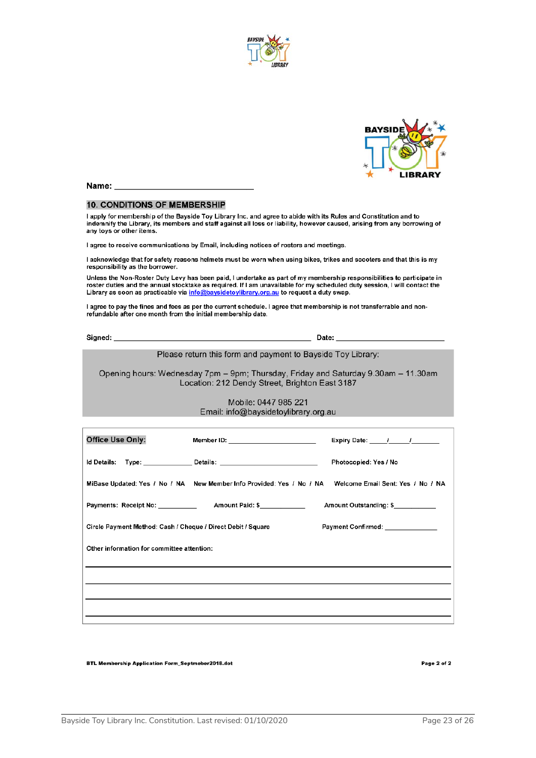



Name:

#### **10. CONDITIONS OF MEMBERSHIP**

I apply for membership of the Bayside Toy Library Inc. and agree to abide with its Rules and Constitution and to<br>indemnify the Library, its members and staff against all loss or liability, however caused, arising from any any toys or other items.

I agree to receive communications by Email, including notices of rosters and meetings.

I acknowledge that for safety reasons helmets must be worn when using bikes, trikes and scooters and that this is my responsibility as the borrower.

Unless the Non-Roster Duty Levy has been paid, I undertake as part of my membership responsibilities to participate in roster duties and the annual stocktake as required. If I am unavailable for my scheduled duty session, I will contact the Library as soon as practicable via info@baysidetoylibrary.org.au to request a duty swap.

I agree to pay the fines and fees as per the current schedule. I agree that membership is not transferrable and nonrefundable after one month from the initial membership date.

Signed:

Please return this form and payment to Bayside Toy Library:

Opening hours: Wednesday 7pm - 9pm; Thursday, Friday and Saturday 9.30am - 11.30am Location: 212 Dendy Street, Brighton East 3187

#### Mobile: 0447 985 221 Email: info@baysidetoylibrary.org.au

| Office Use Only:                                                                                        | Member ID: ___________________________ | Expiry Date: 1 1       |  |  |
|---------------------------------------------------------------------------------------------------------|----------------------------------------|------------------------|--|--|
|                                                                                                         |                                        | Photocopied: Yes / No  |  |  |
| MiBase Updated: Yes / No / NA New Member Info Provided: Yes / No / NA Welcome Email Sent: Yes / No / NA |                                        |                        |  |  |
|                                                                                                         |                                        | Amount Outstanding: \$ |  |  |
| Payment Confirmed: ______________<br>Circle Payment Method: Cash / Cheque / Direct Debit / Square       |                                        |                        |  |  |
| Other information for committee attention:                                                              |                                        |                        |  |  |
|                                                                                                         |                                        |                        |  |  |
|                                                                                                         |                                        |                        |  |  |
|                                                                                                         |                                        |                        |  |  |

**BTL Membership Application Form\_Septmeber2018.dot** 

Page 2 of 2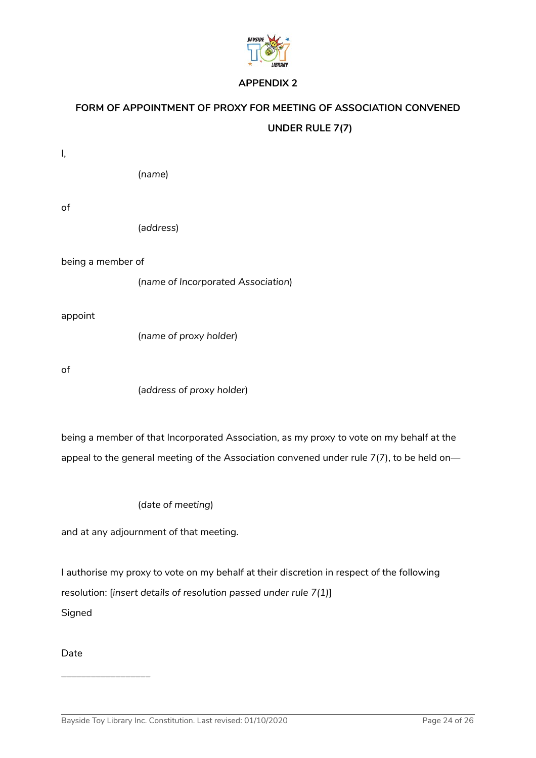

## **FORM OF APPOINTMENT OF PROXY FOR MEETING OF ASSOCIATION CONVENED UNDER RULE 7(7)**

 $\overline{I}$ .

(*name*)

of

(*address*)

being a member of

(*name of Incorporated Association*)

appoint

(*name of proxy holder*)

of

(*address of proxy holder*)

being a member of that Incorporated Association, as my proxy to vote on my behalf at the appeal to the general meeting of the Association convened under rule 7(7), to be held on—

(*date of meeting*)

and at any adjournment of that meeting.

I authorise my proxy to vote on my behalf at their discretion in respect of the following resolution: [*insert details of resolution passed under rule 7(1)*] Signed

Date

\_\_\_\_\_\_\_\_\_\_\_\_\_\_\_\_\_\_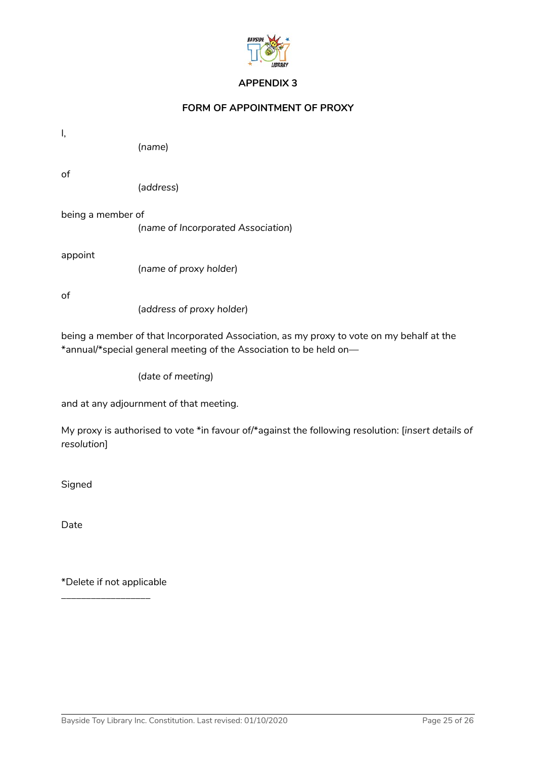

#### **FORM OF APPOINTMENT OF PROXY**

| Ι,                |                                                                                                                                                                |
|-------------------|----------------------------------------------------------------------------------------------------------------------------------------------------------------|
|                   | (name)                                                                                                                                                         |
| of                | (address)                                                                                                                                                      |
| being a member of | (name of Incorporated Association)                                                                                                                             |
| appoint           | (name of proxy holder)                                                                                                                                         |
| of                | (address of proxy holder)                                                                                                                                      |
|                   | being a member of that Incorporated Association, as my proxy to vote on my behalf at the<br>*annual/*special general meeting of the Association to be held on- |

(*date of meeting*)

and at any adjournment of that meeting.

My proxy is authorised to vote \*in favour of/\*against the following resolution: [*insert details of resolution*]

Signed

Date

\*Delete if not applicable

\_\_\_\_\_\_\_\_\_\_\_\_\_\_\_\_\_\_